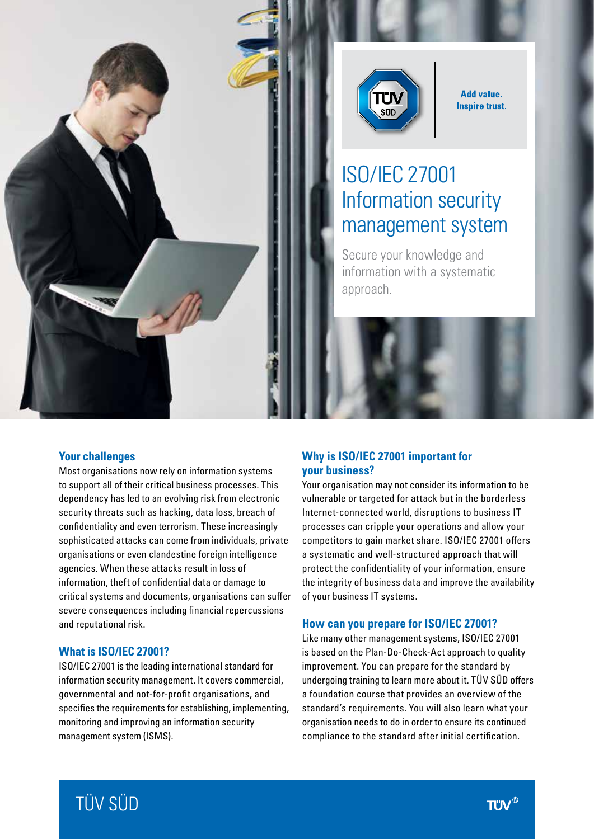



**Add value. Inspire trust.** 

# ISO/IEC 27001 Information security management system

Secure your knowledge and information with a systematic approach.

## **Your challenges**

Most organisations now rely on information systems to support all of their critical business processes. This dependency has led to an evolving risk from electronic security threats such as hacking, data loss, breach of confidentiality and even terrorism. These increasingly sophisticated attacks can come from individuals, private organisations or even clandestine foreign intelligence agencies. When these attacks result in loss of information, theft of confidential data or damage to critical systems and documents, organisations can suffer severe consequences including financial repercussions and reputational risk.

## **What is ISO/IEC 27001?**

ISO/IEC 27001 is the leading international standard for information security management. It covers commercial, governmental and not-for-profit organisations, and specifies the requirements for establishing, implementing, monitoring and improving an information security management system (ISMS).

# **Why is ISO/IEC 27001 important for your business?**

Your organisation may not consider its information to be vulnerable or targeted for attack but in the borderless Internet-connected world, disruptions to business IT processes can cripple your operations and allow your competitors to gain market share. ISO/IEC 27001 offers a systematic and well-structured approach that will protect the confidentiality of your information, ensure the integrity of business data and improve the availability of your business IT systems.

#### **How can you prepare for ISO/IEC 27001?**

Like many other management systems, ISO/IEC 27001 is based on the Plan-Do-Check-Act approach to quality improvement. You can prepare for the standard by undergoing training to learn more about it. TÜV SÜD offers a foundation course that provides an overview of the standard's requirements. You will also learn what your organisation needs to do in order to ensure its continued compliance to the standard after initial certification.

# TÜV SÜD